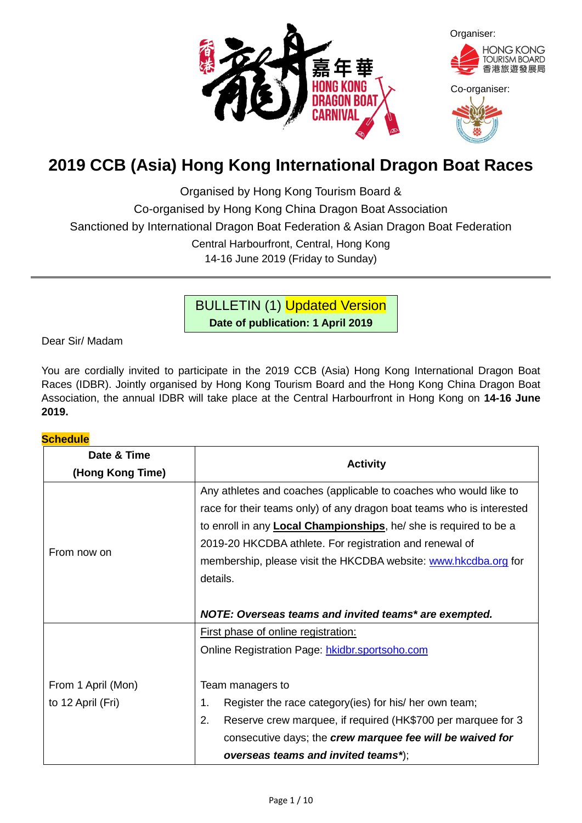

# **2019 CCB (Asia) Hong Kong International Dragon Boat Races**

Organised by Hong Kong Tourism Board &

Co-organised by Hong Kong China Dragon Boat Association

Sanctioned by International Dragon Boat Federation & Asian Dragon Boat Federation

Central Harbourfront, Central, Hong Kong

14-16 June 2019 (Friday to Sunday)

BULLETIN (1) Updated Version

**Date of publication: 1 April 2019**

Dear Sir/ Madam

You are cordially invited to participate in the 2019 CCB (Asia) Hong Kong International Dragon Boat Races (IDBR). Jointly organised by Hong Kong Tourism Board and the Hong Kong China Dragon Boat Association, the annual IDBR will take place at the Central Harbourfront in Hong Kong on **14-16 June 2019.**

# **Schedule**

| Date & Time        | <b>Activity</b>                                                           |  |  |
|--------------------|---------------------------------------------------------------------------|--|--|
| (Hong Kong Time)   |                                                                           |  |  |
|                    | Any athletes and coaches (applicable to coaches who would like to         |  |  |
|                    | race for their teams only) of any dragon boat teams who is interested     |  |  |
|                    | to enroll in any <b>Local Championships</b> , he/ she is required to be a |  |  |
| From now on        | 2019-20 HKCDBA athlete. For registration and renewal of                   |  |  |
|                    | membership, please visit the HKCDBA website: www.hkcdba.org for           |  |  |
|                    | details.                                                                  |  |  |
|                    |                                                                           |  |  |
|                    | NOTE: Overseas teams and invited teams* are exempted.                     |  |  |
|                    | First phase of online registration:                                       |  |  |
|                    | Online Registration Page: hkidbr.sportsoho.com                            |  |  |
|                    |                                                                           |  |  |
| From 1 April (Mon) | Team managers to                                                          |  |  |
| to 12 April (Fri)  | 1.<br>Register the race category (ies) for his/ her own team;             |  |  |
|                    | 2.<br>Reserve crew marquee, if required (HK\$700 per marquee for 3        |  |  |
|                    | consecutive days; the crew marquee fee will be waived for                 |  |  |
|                    | overseas teams and invited teams*);                                       |  |  |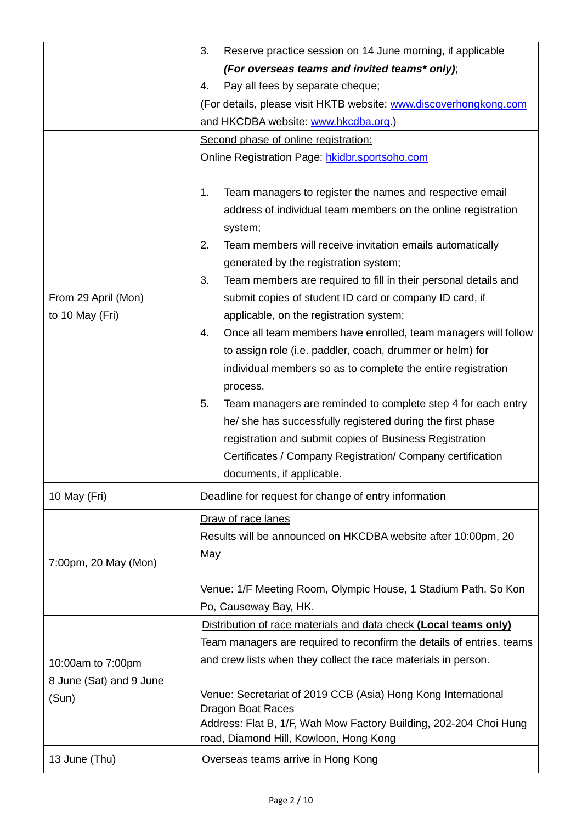|                                        | Reserve practice session on 14 June morning, if applicable<br>3.                                                                                                                                              |
|----------------------------------------|---------------------------------------------------------------------------------------------------------------------------------------------------------------------------------------------------------------|
|                                        | (For overseas teams and invited teams* only);                                                                                                                                                                 |
|                                        | Pay all fees by separate cheque;<br>4.                                                                                                                                                                        |
|                                        | (For details, please visit HKTB website: www.discoverhongkong.com                                                                                                                                             |
|                                        | and HKCDBA website: www.hkcdba.org.)                                                                                                                                                                          |
|                                        | Second phase of online registration:                                                                                                                                                                          |
|                                        | Online Registration Page: hkidbr.sportsoho.com                                                                                                                                                                |
|                                        | Team managers to register the names and respective email<br>1.<br>address of individual team members on the online registration<br>system;<br>2.<br>Team members will receive invitation emails automatically |
|                                        | generated by the registration system;                                                                                                                                                                         |
| From 29 April (Mon)<br>to 10 May (Fri) | 3.<br>Team members are required to fill in their personal details and<br>submit copies of student ID card or company ID card, if<br>applicable, on the registration system;                                   |
|                                        | 4.<br>Once all team members have enrolled, team managers will follow<br>to assign role (i.e. paddler, coach, drummer or helm) for<br>individual members so as to complete the entire registration<br>process. |
|                                        | Team managers are reminded to complete step 4 for each entry<br>5.                                                                                                                                            |
|                                        | he/ she has successfully registered during the first phase                                                                                                                                                    |
|                                        | registration and submit copies of Business Registration                                                                                                                                                       |
|                                        | Certificates / Company Registration/ Company certification                                                                                                                                                    |
|                                        | documents, if applicable.                                                                                                                                                                                     |
| 10 May (Fri)                           | Deadline for request for change of entry information                                                                                                                                                          |
|                                        | Draw of race lanes                                                                                                                                                                                            |
|                                        | Results will be announced on HKCDBA website after 10:00pm, 20                                                                                                                                                 |
| 7:00pm, 20 May (Mon)                   | May                                                                                                                                                                                                           |
|                                        | Venue: 1/F Meeting Room, Olympic House, 1 Stadium Path, So Kon                                                                                                                                                |
|                                        | Po, Causeway Bay, HK.                                                                                                                                                                                         |
|                                        | Distribution of race materials and data check (Local teams only)                                                                                                                                              |
|                                        | Team managers are required to reconfirm the details of entries, teams                                                                                                                                         |
| 10:00am to 7:00pm                      | and crew lists when they collect the race materials in person.                                                                                                                                                |
| 8 June (Sat) and 9 June                |                                                                                                                                                                                                               |
| (Sun)                                  | Venue: Secretariat of 2019 CCB (Asia) Hong Kong International<br><b>Dragon Boat Races</b><br>Address: Flat B, 1/F, Wah Mow Factory Building, 202-204 Choi Hung                                                |
|                                        | road, Diamond Hill, Kowloon, Hong Kong                                                                                                                                                                        |
| 13 June (Thu)                          | Overseas teams arrive in Hong Kong                                                                                                                                                                            |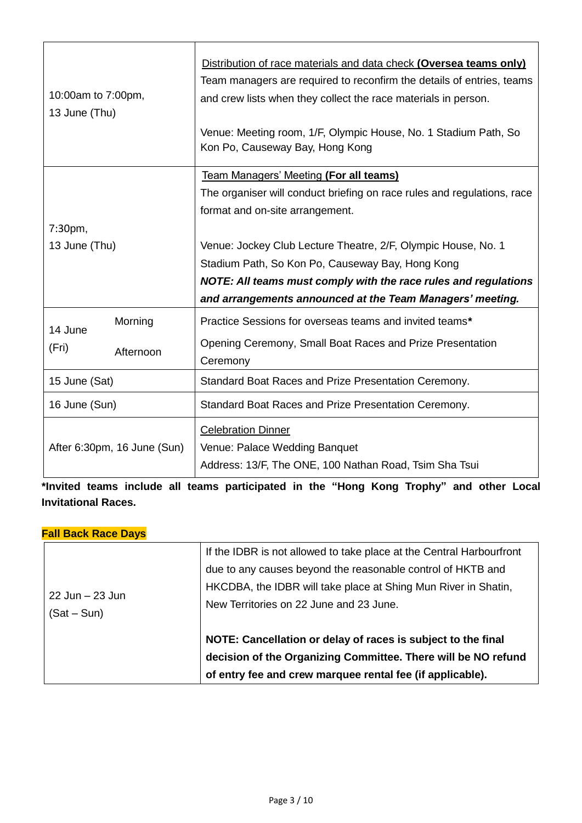| <b>Team Managers' Meeting (For all teams)</b><br>The organiser will conduct briefing on race rules and regulations, race<br>format and on-site arrangement.<br>7:30 <sub>pm</sub><br>13 June (Thu)<br>Venue: Jockey Club Lecture Theatre, 2/F, Olympic House, No. 1<br>Stadium Path, So Kon Po, Causeway Bay, Hong Kong<br>NOTE: All teams must comply with the race rules and regulations<br>and arrangements announced at the Team Managers' meeting.<br>Morning<br>Practice Sessions for overseas teams and invited teams*<br>14 June<br>Opening Ceremony, Small Boat Races and Prize Presentation<br>(Fri)<br>Afternoon<br>Ceremony<br>15 June (Sat)<br>Standard Boat Races and Prize Presentation Ceremony.<br>16 June (Sun)<br>Standard Boat Races and Prize Presentation Ceremony.<br><b>Celebration Dinner</b><br>After 6:30pm, 16 June (Sun)<br>Venue: Palace Wedding Banquet<br>Address: 13/F, The ONE, 100 Nathan Road, Tsim Sha Tsui | 10:00am to 7:00pm,<br>13 June (Thu) |  | Distribution of race materials and data check (Oversea teams only)<br>Team managers are required to reconfirm the details of entries, teams<br>and crew lists when they collect the race materials in person.<br>Venue: Meeting room, 1/F, Olympic House, No. 1 Stadium Path, So<br>Kon Po, Causeway Bay, Hong Kong |  |  |
|--------------------------------------------------------------------------------------------------------------------------------------------------------------------------------------------------------------------------------------------------------------------------------------------------------------------------------------------------------------------------------------------------------------------------------------------------------------------------------------------------------------------------------------------------------------------------------------------------------------------------------------------------------------------------------------------------------------------------------------------------------------------------------------------------------------------------------------------------------------------------------------------------------------------------------------------------|-------------------------------------|--|---------------------------------------------------------------------------------------------------------------------------------------------------------------------------------------------------------------------------------------------------------------------------------------------------------------------|--|--|
|                                                                                                                                                                                                                                                                                                                                                                                                                                                                                                                                                                                                                                                                                                                                                                                                                                                                                                                                                  |                                     |  |                                                                                                                                                                                                                                                                                                                     |  |  |
|                                                                                                                                                                                                                                                                                                                                                                                                                                                                                                                                                                                                                                                                                                                                                                                                                                                                                                                                                  |                                     |  |                                                                                                                                                                                                                                                                                                                     |  |  |
|                                                                                                                                                                                                                                                                                                                                                                                                                                                                                                                                                                                                                                                                                                                                                                                                                                                                                                                                                  |                                     |  |                                                                                                                                                                                                                                                                                                                     |  |  |
|                                                                                                                                                                                                                                                                                                                                                                                                                                                                                                                                                                                                                                                                                                                                                                                                                                                                                                                                                  |                                     |  |                                                                                                                                                                                                                                                                                                                     |  |  |
|                                                                                                                                                                                                                                                                                                                                                                                                                                                                                                                                                                                                                                                                                                                                                                                                                                                                                                                                                  |                                     |  |                                                                                                                                                                                                                                                                                                                     |  |  |
|                                                                                                                                                                                                                                                                                                                                                                                                                                                                                                                                                                                                                                                                                                                                                                                                                                                                                                                                                  |                                     |  |                                                                                                                                                                                                                                                                                                                     |  |  |
|                                                                                                                                                                                                                                                                                                                                                                                                                                                                                                                                                                                                                                                                                                                                                                                                                                                                                                                                                  |                                     |  |                                                                                                                                                                                                                                                                                                                     |  |  |
|                                                                                                                                                                                                                                                                                                                                                                                                                                                                                                                                                                                                                                                                                                                                                                                                                                                                                                                                                  |                                     |  |                                                                                                                                                                                                                                                                                                                     |  |  |
|                                                                                                                                                                                                                                                                                                                                                                                                                                                                                                                                                                                                                                                                                                                                                                                                                                                                                                                                                  |                                     |  |                                                                                                                                                                                                                                                                                                                     |  |  |
|                                                                                                                                                                                                                                                                                                                                                                                                                                                                                                                                                                                                                                                                                                                                                                                                                                                                                                                                                  |                                     |  |                                                                                                                                                                                                                                                                                                                     |  |  |
|                                                                                                                                                                                                                                                                                                                                                                                                                                                                                                                                                                                                                                                                                                                                                                                                                                                                                                                                                  |                                     |  |                                                                                                                                                                                                                                                                                                                     |  |  |
|                                                                                                                                                                                                                                                                                                                                                                                                                                                                                                                                                                                                                                                                                                                                                                                                                                                                                                                                                  |                                     |  |                                                                                                                                                                                                                                                                                                                     |  |  |
|                                                                                                                                                                                                                                                                                                                                                                                                                                                                                                                                                                                                                                                                                                                                                                                                                                                                                                                                                  |                                     |  |                                                                                                                                                                                                                                                                                                                     |  |  |
|                                                                                                                                                                                                                                                                                                                                                                                                                                                                                                                                                                                                                                                                                                                                                                                                                                                                                                                                                  |                                     |  |                                                                                                                                                                                                                                                                                                                     |  |  |
|                                                                                                                                                                                                                                                                                                                                                                                                                                                                                                                                                                                                                                                                                                                                                                                                                                                                                                                                                  |                                     |  |                                                                                                                                                                                                                                                                                                                     |  |  |
|                                                                                                                                                                                                                                                                                                                                                                                                                                                                                                                                                                                                                                                                                                                                                                                                                                                                                                                                                  |                                     |  |                                                                                                                                                                                                                                                                                                                     |  |  |

**\*Invited teams include all teams participated in the "Hong Kong Trophy" and other Local Invitational Races.**

# **Fall Back Race Days**

| 22 Jun – 23 Jun<br>$(Sat-Sun)$ | If the IDBR is not allowed to take place at the Central Harbourfront<br>due to any causes beyond the reasonable control of HKTB and<br>HKCDBA, the IDBR will take place at Shing Mun River in Shatin,<br>New Territories on 22 June and 23 June. |
|--------------------------------|--------------------------------------------------------------------------------------------------------------------------------------------------------------------------------------------------------------------------------------------------|
|                                | NOTE: Cancellation or delay of races is subject to the final<br>decision of the Organizing Committee. There will be NO refund<br>of entry fee and crew marquee rental fee (if applicable).                                                       |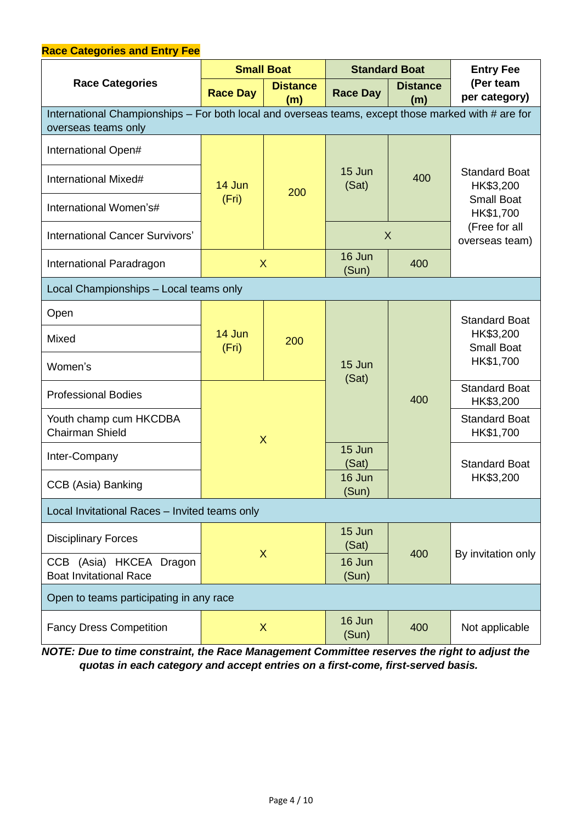#### **Race Categories and Entry Fee Race Categories Small Boat Standard Boat Entry Fee (Per team Race Day Distance** Race Day **Distance** (Per team  $\begin{array}{c}$  (Per team  $\begin{array}{c}$ **Race Day (m)** International Championships – For both local and overseas teams, except those marked with # are for overseas teams only International Open# 14 Jun  $(Fri)$  200 15 Jun  $($ Sat)  $\begin{array}{|c|c|c|c|} \hline 15 \text{ Jun} & 400 & \text{Standard Boat} \ \hline 16 \text{ HK$3,200} & & \end{array}$ HK\$3,200 Small Boat HK\$1,700 (Free for all overseas team) International Mixed# International Women's# International Cancer Survivors' New York 1 (New York 1) 2014 International Paradragon New York 1988 16 Jun  $(Sun)$  400 Local Championships – Local teams only Open 14 Jun  $(Fri)$  200 15 Jun (Sat) 400 Standard Boat HK\$3,200 Small Boat HK\$1,700 Mixed Women's Professional Bodies X Standard Boat HK\$3,200 Youth champ cum HKCDBA Chairman Shield Standard Boat HK\$1,700 Inter-Company 15 Jun 2014 Standard Boat CCB (Asia) Banking **16 Jun** 16 Jun HK\$3,200 (Sun) Local Invitational Races – Invited teams only Disciplinary Forces X 15 Jun (Sat) 400 | By invitation only CCB (Asia) HKCEA Dragon Boat Invitational Race 16 Jun (Sun) Open to teams participating in any race Fancy Dress Competition | X 16 Jun (Sun) 400 Not applicable

*NOTE: Due to time constraint, the Race Management Committee reserves the right to adjust the quotas in each category and accept entries on a first-come, first-served basis.*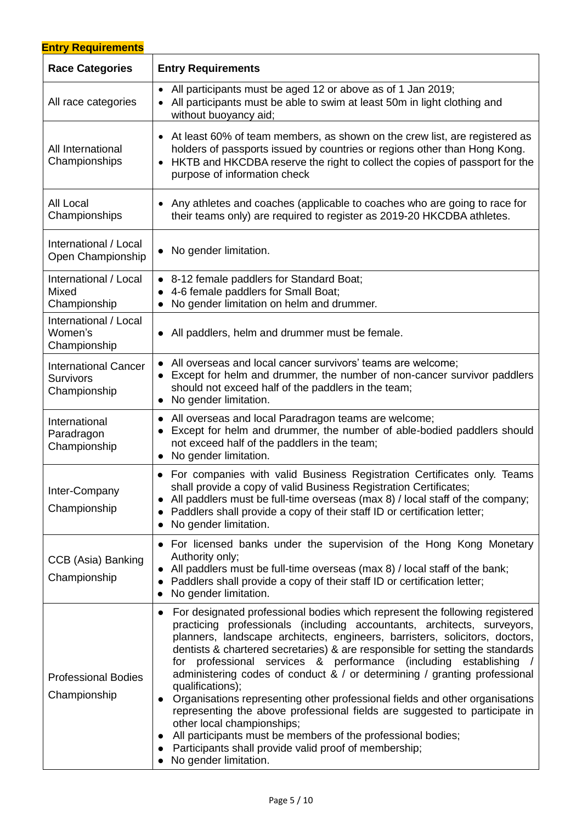| <b>Entry Requirements</b>                                       |                                                                                                                                                                                                                                                                                                                                                                                                                                                                                                                                                                                                                                                                                                                                                                                                                                             |  |  |
|-----------------------------------------------------------------|---------------------------------------------------------------------------------------------------------------------------------------------------------------------------------------------------------------------------------------------------------------------------------------------------------------------------------------------------------------------------------------------------------------------------------------------------------------------------------------------------------------------------------------------------------------------------------------------------------------------------------------------------------------------------------------------------------------------------------------------------------------------------------------------------------------------------------------------|--|--|
| <b>Race Categories</b>                                          | <b>Entry Requirements</b>                                                                                                                                                                                                                                                                                                                                                                                                                                                                                                                                                                                                                                                                                                                                                                                                                   |  |  |
| All race categories                                             | • All participants must be aged 12 or above as of 1 Jan 2019;<br>All participants must be able to swim at least 50m in light clothing and<br>without buoyancy aid;                                                                                                                                                                                                                                                                                                                                                                                                                                                                                                                                                                                                                                                                          |  |  |
| All International<br>Championships                              | • At least 60% of team members, as shown on the crew list, are registered as<br>holders of passports issued by countries or regions other than Hong Kong.<br>HKTB and HKCDBA reserve the right to collect the copies of passport for the<br>purpose of information check                                                                                                                                                                                                                                                                                                                                                                                                                                                                                                                                                                    |  |  |
| All Local<br>Championships                                      | Any athletes and coaches (applicable to coaches who are going to race for<br>their teams only) are required to register as 2019-20 HKCDBA athletes.                                                                                                                                                                                                                                                                                                                                                                                                                                                                                                                                                                                                                                                                                         |  |  |
| International / Local<br>Open Championship                      | No gender limitation.                                                                                                                                                                                                                                                                                                                                                                                                                                                                                                                                                                                                                                                                                                                                                                                                                       |  |  |
| International / Local<br>Mixed<br>Championship                  | • 8-12 female paddlers for Standard Boat;<br>4-6 female paddlers for Small Boat;<br>No gender limitation on helm and drummer.<br>$\bullet$                                                                                                                                                                                                                                                                                                                                                                                                                                                                                                                                                                                                                                                                                                  |  |  |
| International / Local<br>Women's<br>Championship                | All paddlers, helm and drummer must be female.<br>$\bullet$                                                                                                                                                                                                                                                                                                                                                                                                                                                                                                                                                                                                                                                                                                                                                                                 |  |  |
| <b>International Cancer</b><br><b>Survivors</b><br>Championship | All overseas and local cancer survivors' teams are welcome;<br>Except for helm and drummer, the number of non-cancer survivor paddlers<br>should not exceed half of the paddlers in the team;<br>No gender limitation.                                                                                                                                                                                                                                                                                                                                                                                                                                                                                                                                                                                                                      |  |  |
| International<br>Paradragon<br>Championship                     | All overseas and local Paradragon teams are welcome;<br>$\bullet$<br>Except for helm and drummer, the number of able-bodied paddlers should<br>not exceed half of the paddlers in the team;<br>No gender limitation.<br>$\bullet$                                                                                                                                                                                                                                                                                                                                                                                                                                                                                                                                                                                                           |  |  |
| Inter-Company<br>Championship                                   | • For companies with valid Business Registration Certificates only. Teams<br>shall provide a copy of valid Business Registration Certificates;<br>All paddlers must be full-time overseas (max 8) / local staff of the company;<br>Paddlers shall provide a copy of their staff ID or certification letter;<br>No gender limitation.                                                                                                                                                                                                                                                                                                                                                                                                                                                                                                        |  |  |
| CCB (Asia) Banking<br>Championship                              | For licensed banks under the supervision of the Hong Kong Monetary<br>$\bullet$<br>Authority only;<br>All paddlers must be full-time overseas (max 8) / local staff of the bank;<br>Paddlers shall provide a copy of their staff ID or certification letter;<br>No gender limitation.                                                                                                                                                                                                                                                                                                                                                                                                                                                                                                                                                       |  |  |
| <b>Professional Bodies</b><br>Championship                      | For designated professional bodies which represent the following registered<br>practicing professionals (including accountants, architects, surveyors,<br>planners, landscape architects, engineers, barristers, solicitors, doctors,<br>dentists & chartered secretaries) & are responsible for setting the standards<br>professional services & performance (including establishing<br>for<br>administering codes of conduct & / or determining / granting professional<br>qualifications);<br>Organisations representing other professional fields and other organisations<br>representing the above professional fields are suggested to participate in<br>other local championships;<br>All participants must be members of the professional bodies;<br>Participants shall provide valid proof of membership;<br>No gender limitation. |  |  |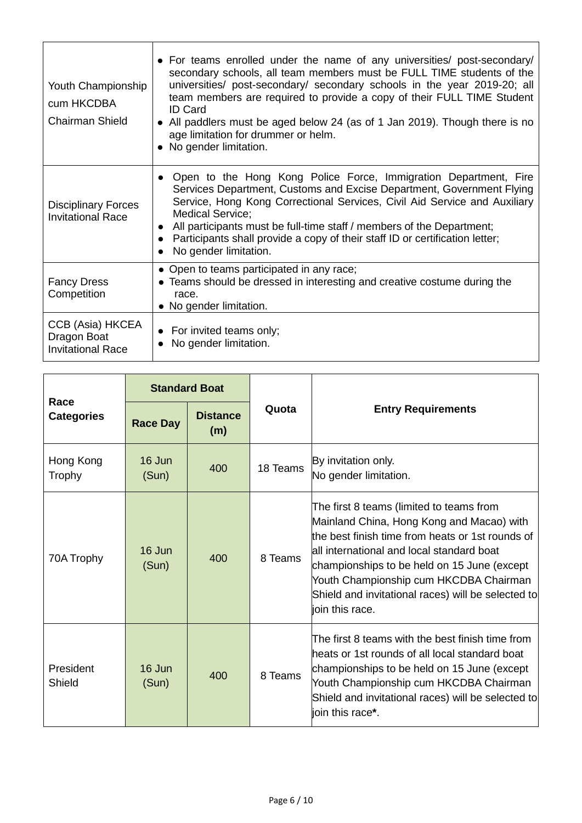| Youth Championship<br>cum HKCDBA<br><b>Chairman Shield</b>  | • For teams enrolled under the name of any universities post-secondary<br>secondary schools, all team members must be FULL TIME students of the<br>universities/ post-secondary/ secondary schools in the year 2019-20; all<br>team members are required to provide a copy of their FULL TIME Student<br><b>ID Card</b><br>All paddlers must be aged below 24 (as of 1 Jan 2019). Though there is no<br>$\bullet$<br>age limitation for drummer or helm.<br>• No gender limitation. |
|-------------------------------------------------------------|-------------------------------------------------------------------------------------------------------------------------------------------------------------------------------------------------------------------------------------------------------------------------------------------------------------------------------------------------------------------------------------------------------------------------------------------------------------------------------------|
| <b>Disciplinary Forces</b><br><b>Invitational Race</b>      | Open to the Hong Kong Police Force, Immigration Department, Fire<br>$\bullet$<br>Services Department, Customs and Excise Department, Government Flying<br>Service, Hong Kong Correctional Services, Civil Aid Service and Auxiliary<br><b>Medical Service;</b><br>All participants must be full-time staff / members of the Department;<br>$\bullet$<br>Participants shall provide a copy of their staff ID or certification letter;<br>$\bullet$<br>No gender limitation.          |
| <b>Fancy Dress</b><br>Competition                           | • Open to teams participated in any race;<br>• Teams should be dressed in interesting and creative costume during the<br>race.<br>• No gender limitation.                                                                                                                                                                                                                                                                                                                           |
| CCB (Asia) HKCEA<br>Dragon Boat<br><b>Invitational Race</b> | • For invited teams only;<br>No gender limitation.                                                                                                                                                                                                                                                                                                                                                                                                                                  |

| Race<br><b>Categories</b> | <b>Standard Boat</b> |                        |          |                                                                                                                                                                                                                                                                                                                                                          |
|---------------------------|----------------------|------------------------|----------|----------------------------------------------------------------------------------------------------------------------------------------------------------------------------------------------------------------------------------------------------------------------------------------------------------------------------------------------------------|
|                           | <b>Race Day</b>      | <b>Distance</b><br>(m) | Quota    | <b>Entry Requirements</b>                                                                                                                                                                                                                                                                                                                                |
| Hong Kong<br>Trophy       | 16 Jun<br>(Sun)      | 400                    | 18 Teams | By invitation only.<br>No gender limitation.                                                                                                                                                                                                                                                                                                             |
| 70A Trophy                | 16 Jun<br>(Sun)      | 400                    | 8 Teams  | The first 8 teams (limited to teams from<br>Mainland China, Hong Kong and Macao) with<br>the best finish time from heats or 1st rounds of<br>all international and local standard boat<br>championships to be held on 15 June (except<br>Youth Championship cum HKCDBA Chairman<br>Shield and invitational races) will be selected to<br>ioin this race. |
| President<br>Shield       | 16 Jun<br>(Sun)      | 400                    | 8 Teams  | The first 8 teams with the best finish time from<br>heats or 1st rounds of all local standard boat<br>championships to be held on 15 June (except<br>Youth Championship cum HKCDBA Chairman<br>Shield and invitational races) will be selected to<br>ioin this race*.                                                                                    |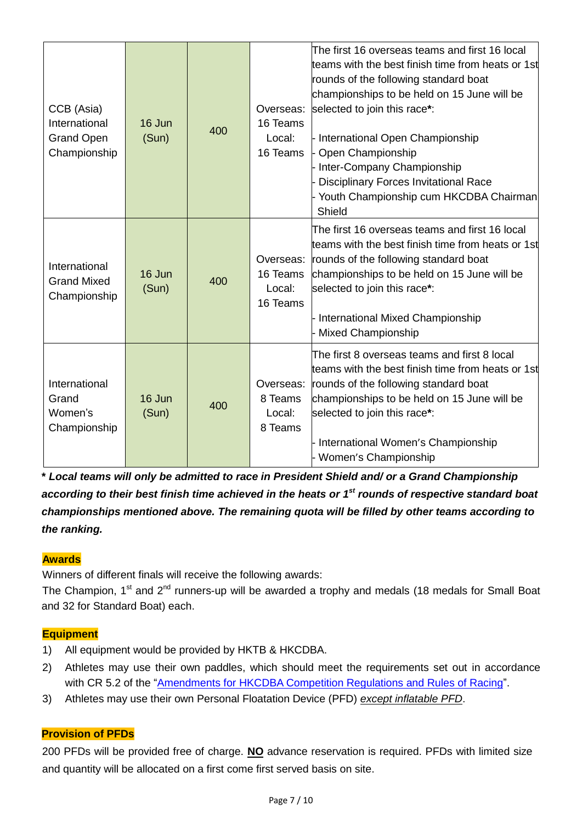| CCB (Asia)<br>International<br><b>Grand Open</b><br>Championship | 16 Jun<br>(Sun) | 400 | Overseas:<br>16 Teams<br>Local:<br>16 Teams | The first 16 overseas teams and first 16 local<br>teams with the best finish time from heats or 1st<br>rounds of the following standard boat<br>championships to be held on 15 June will be<br>selected to join this race*:<br>International Open Championship<br>Open Championship<br>Inter-Company Championship<br><b>Disciplinary Forces Invitational Race</b><br>Youth Championship cum HKCDBA Chairman<br>Shield |
|------------------------------------------------------------------|-----------------|-----|---------------------------------------------|-----------------------------------------------------------------------------------------------------------------------------------------------------------------------------------------------------------------------------------------------------------------------------------------------------------------------------------------------------------------------------------------------------------------------|
| International<br><b>Grand Mixed</b><br>Championship              | 16 Jun<br>(Sun) | 400 | Overseas:<br>16 Teams<br>Local:<br>16 Teams | The first 16 overseas teams and first 16 local<br>teams with the best finish time from heats or 1st<br>rounds of the following standard boat<br>championships to be held on 15 June will be<br>selected to join this race*:<br>International Mixed Championship<br><b>Mixed Championship</b>                                                                                                                          |
| International<br>Grand<br>Women's<br>Championship                | 16 Jun<br>(Sun) | 400 | Overseas:<br>8 Teams<br>Local:<br>8 Teams   | The first 8 overseas teams and first 8 local<br>teams with the best finish time from heats or 1st<br>rounds of the following standard boat<br>championships to be held on 15 June will be<br>selected to join this race*:<br>International Women's Championship<br>Women's Championship                                                                                                                               |

**\*** *Local teams will only be admitted to race in President Shield and/ or a Grand Championship according to their best finish time achieved in the heats or 1st rounds of respective standard boat championships mentioned above. The remaining quota will be filled by other teams according to the ranking.*

# **Awards**

Winners of different finals will receive the following awards:

The Champion, 1<sup>st</sup> and 2<sup>nd</sup> runners-up will be awarded a trophy and medals (18 medals for Small Boat and 32 for Standard Boat) each.

# **Equipment**

- 1) All equipment would be provided by HKTB & HKCDBA.
- 2) Athletes may use their own paddles, which should meet the requirements set out in accordance with CR 5.2 of the "Amendments for [HKCDBA Competition Regulations and Rules of Racing"](https://docs.wixstatic.com/ugd/f648d8_dfc9787cde2940f78ff537c8508d7b60.pdf).
- 3) Athletes may use their own Personal Floatation Device (PFD) *except inflatable PFD*.

# **Provision of PFDs**

200 PFDs will be provided free of charge. **NO** advance reservation is required. PFDs with limited size and quantity will be allocated on a first come first served basis on site.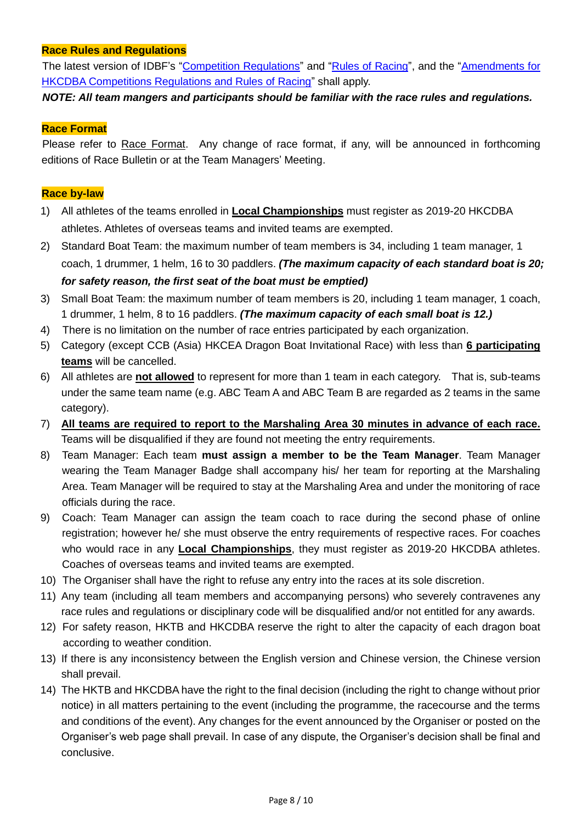# **Race Rules and Regulations**

The latest version of IDBF's ["Competition Regulations"](https://docs.wixstatic.com/ugd/81bcd4_f8552ae9b93f445685e3ca4e9053f612.pdf) and ["Rules of Racing"](https://docs.wixstatic.com/ugd/81bcd4_d08018a96efd4462a068f5771106213b.pdf), and the "Amendments for [HKCDBA Competitions Regulations and Rules of Racing"](https://docs.wixstatic.com/ugd/f648d8_dfc9787cde2940f78ff537c8508d7b60.pdf) shall apply.

*NOTE: All team mangers and participants should be familiar with the race rules and regulations.*

#### **Race Format**

Please refer to Race Format. Any change of race format, if any, will be announced in forthcoming editions of Race Bulletin or at the Team Managers' Meeting.

#### **Race by-law**

- 1) All athletes of the teams enrolled in **Local Championships** must register as 2019-20 HKCDBA athletes. Athletes of overseas teams and invited teams are exempted.
- 2) Standard Boat Team: the maximum number of team members is 34, including 1 team manager, 1 coach, 1 drummer, 1 helm, 16 to 30 paddlers. *(The maximum capacity of each standard boat is 20; for safety reason, the first seat of the boat must be emptied)*
- 3) Small Boat Team: the maximum number of team members is 20, including 1 team manager, 1 coach, 1 drummer, 1 helm, 8 to 16 paddlers. *(The maximum capacity of each small boat is 12.)*
- 4) There is no limitation on the number of race entries participated by each organization.
- 5) Category (except CCB (Asia) HKCEA Dragon Boat Invitational Race) with less than **6 participating teams** will be cancelled.
- 6) All athletes are **not allowed** to represent for more than 1 team in each category. That is, sub-teams under the same team name (e.g. ABC Team A and ABC Team B are regarded as 2 teams in the same category).
- 7) **All teams are required to report to the Marshaling Area 30 minutes in advance of each race.** Teams will be disqualified if they are found not meeting the entry requirements.
- 8) Team Manager: Each team **must assign a member to be the Team Manager**. Team Manager wearing the Team Manager Badge shall accompany his/ her team for reporting at the Marshaling Area. Team Manager will be required to stay at the Marshaling Area and under the monitoring of race officials during the race.
- 9) Coach: Team Manager can assign the team coach to race during the second phase of online registration; however he/ she must observe the entry requirements of respective races. For coaches who would race in any **Local Championships**, they must register as 2019-20 HKCDBA athletes. Coaches of overseas teams and invited teams are exempted.
- 10) The Organiser shall have the right to refuse any entry into the races at its sole discretion.
- 11) Any team (including all team members and accompanying persons) who severely contravenes any race rules and regulations or disciplinary code will be disqualified and/or not entitled for any awards.
- 12) For safety reason, HKTB and HKCDBA reserve the right to alter the capacity of each dragon boat according to weather condition.
- 13) If there is any inconsistency between the English version and Chinese version, the Chinese version shall prevail.
- 14) The HKTB and HKCDBA have the right to the final decision (including the right to change without prior notice) in all matters pertaining to the event (including the programme, the racecourse and the terms and conditions of the event). Any changes for the event announced by the Organiser or posted on the Organiser's web page shall prevail. In case of any dispute, the Organiser's decision shall be final and conclusive.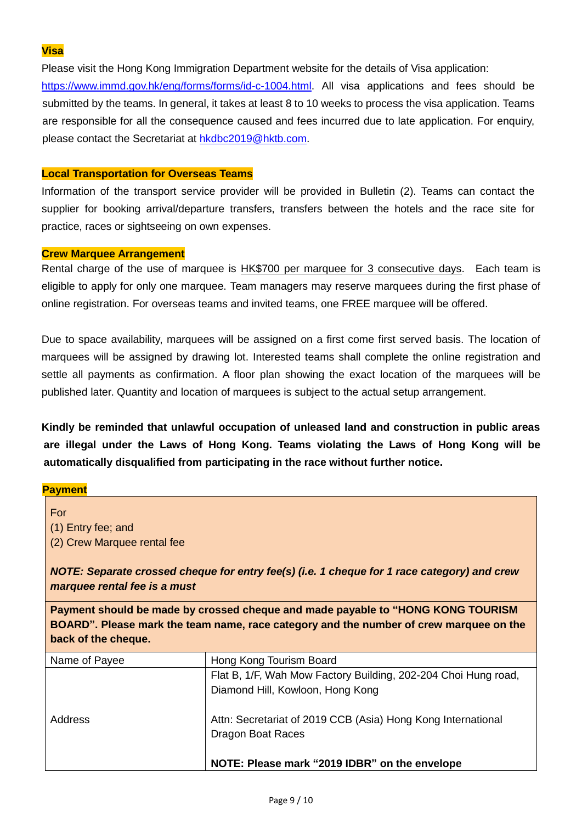# **Visa**

Please visit the Hong Kong Immigration Department website for the details of Visa application:

[https://www.immd.gov.hk/eng/forms/forms/id-c-1004.html.](https://www.immd.gov.hk/eng/forms/forms/id-c-1004.html) All visa applications and fees should be submitted by the teams. In general, it takes at least 8 to 10 weeks to process the visa application. Teams are responsible for all the consequence caused and fees incurred due to late application. For enquiry, please contact the Secretariat at [hkdbc2019@hktb.com.](mailto:hkdbc2019@hktb.com)

# **Local Transportation for Overseas Teams**

Information of the transport service provider will be provided in Bulletin (2). Teams can contact the supplier for booking arrival/departure transfers, transfers between the hotels and the race site for practice, races or sightseeing on own expenses.

# **Crew Marquee Arrangement**

Rental charge of the use of marquee is HK\$700 per marquee for 3 consecutive days. Each team is eligible to apply for only one marquee. Team managers may reserve marquees during the first phase of online registration. For overseas teams and invited teams, one FREE marquee will be offered.

Due to space availability, marquees will be assigned on a first come first served basis. The location of marquees will be assigned by drawing lot. Interested teams shall complete the online registration and settle all payments as confirmation. A floor plan showing the exact location of the marquees will be published later. Quantity and location of marquees is subject to the actual setup arrangement.

**Kindly be reminded that unlawful occupation of unleased land and construction in public areas are illegal under the Laws of Hong Kong. Teams violating the Laws of Hong Kong will be automatically disqualified from participating in the race without further notice.**

#### **Payment**

For (1) Entry fee; and (2) Crew Marquee rental fee

*NOTE: Separate crossed cheque for entry fee(s) (i.e. 1 cheque for 1 race category) and crew marquee rental fee is a must*

**Payment should be made by crossed cheque and made payable to "HONG KONG TOURISM BOARD". Please mark the team name, race category and the number of crew marquee on the back of the cheque.**

| Name of Payee | Hong Kong Tourism Board                                        |
|---------------|----------------------------------------------------------------|
|               | Flat B, 1/F, Wah Mow Factory Building, 202-204 Choi Hung road, |
|               | Diamond Hill, Kowloon, Hong Kong                               |
| Address       | Attn: Secretariat of 2019 CCB (Asia) Hong Kong International   |
|               | <b>Dragon Boat Races</b>                                       |
|               |                                                                |
|               | NOTE: Please mark "2019 IDBR" on the envelope                  |